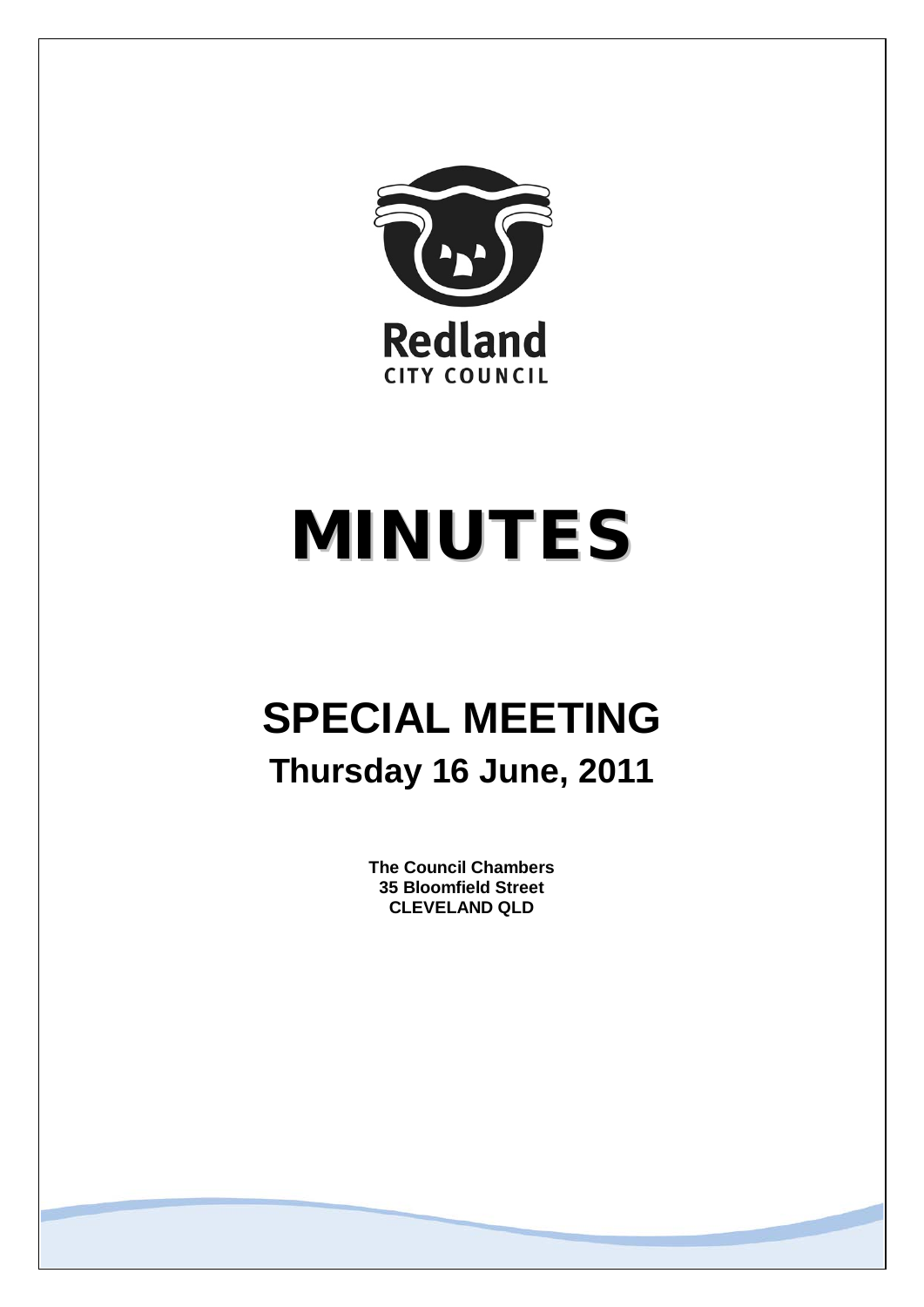

# MINUTES

## **SPECIAL MEETING Thursday 16 June, 2011**

**The Council Chambers 35 Bloomfield Street CLEVELAND QLD**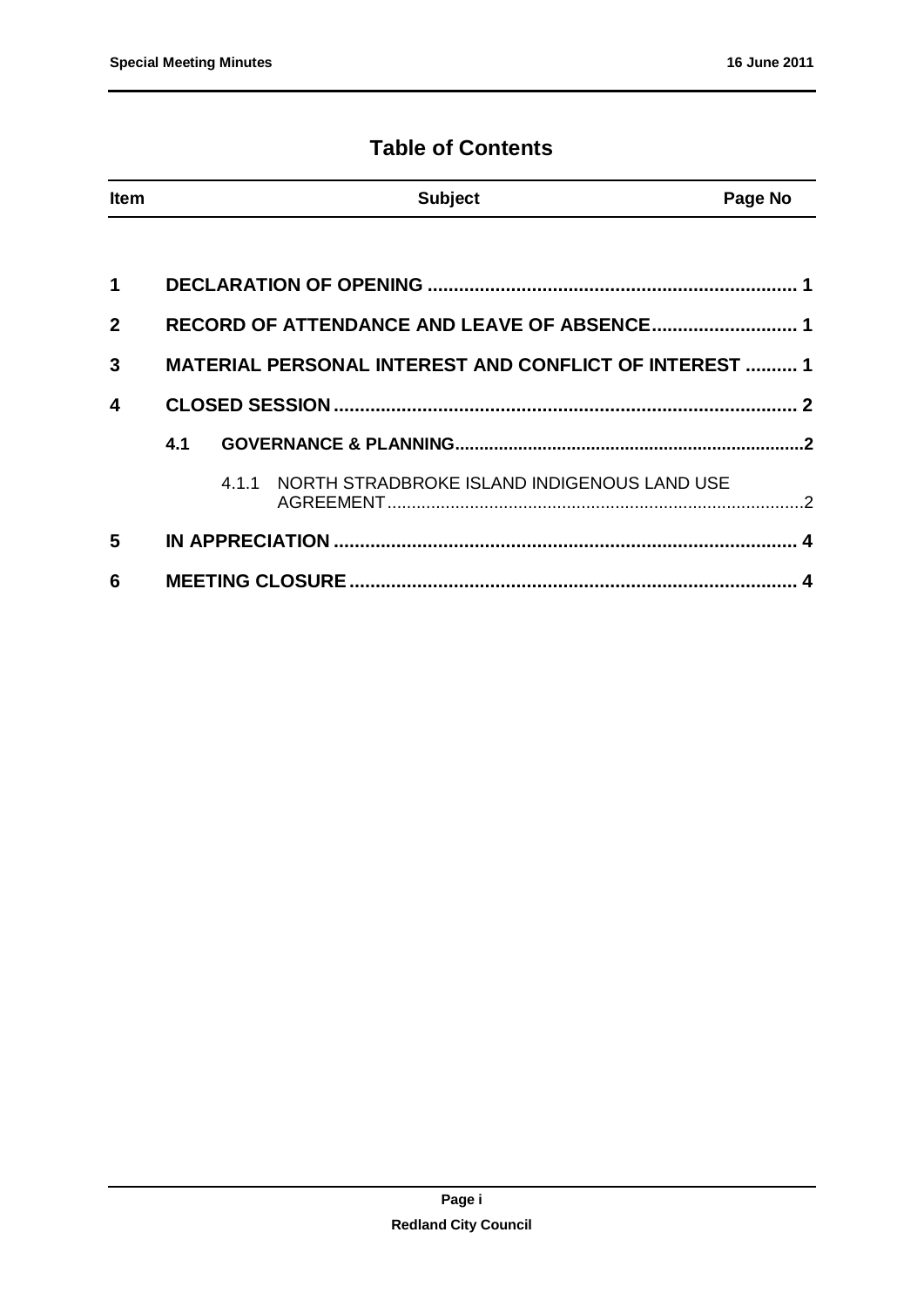#### **Table of Contents**

| <b>Item</b>    |     |  | <b>Subject</b>                                                | Page No |
|----------------|-----|--|---------------------------------------------------------------|---------|
|                |     |  |                                                               |         |
| 1              |     |  |                                                               |         |
| $\overline{2}$ |     |  |                                                               |         |
| 3              |     |  | <b>MATERIAL PERSONAL INTEREST AND CONFLICT OF INTEREST  1</b> |         |
| 4              |     |  |                                                               |         |
|                | 4.1 |  |                                                               |         |
|                |     |  | 4.1.1 NORTH STRADBROKE ISLAND INDIGENOUS LAND USE             |         |
| 5              |     |  |                                                               |         |
| 6              |     |  |                                                               |         |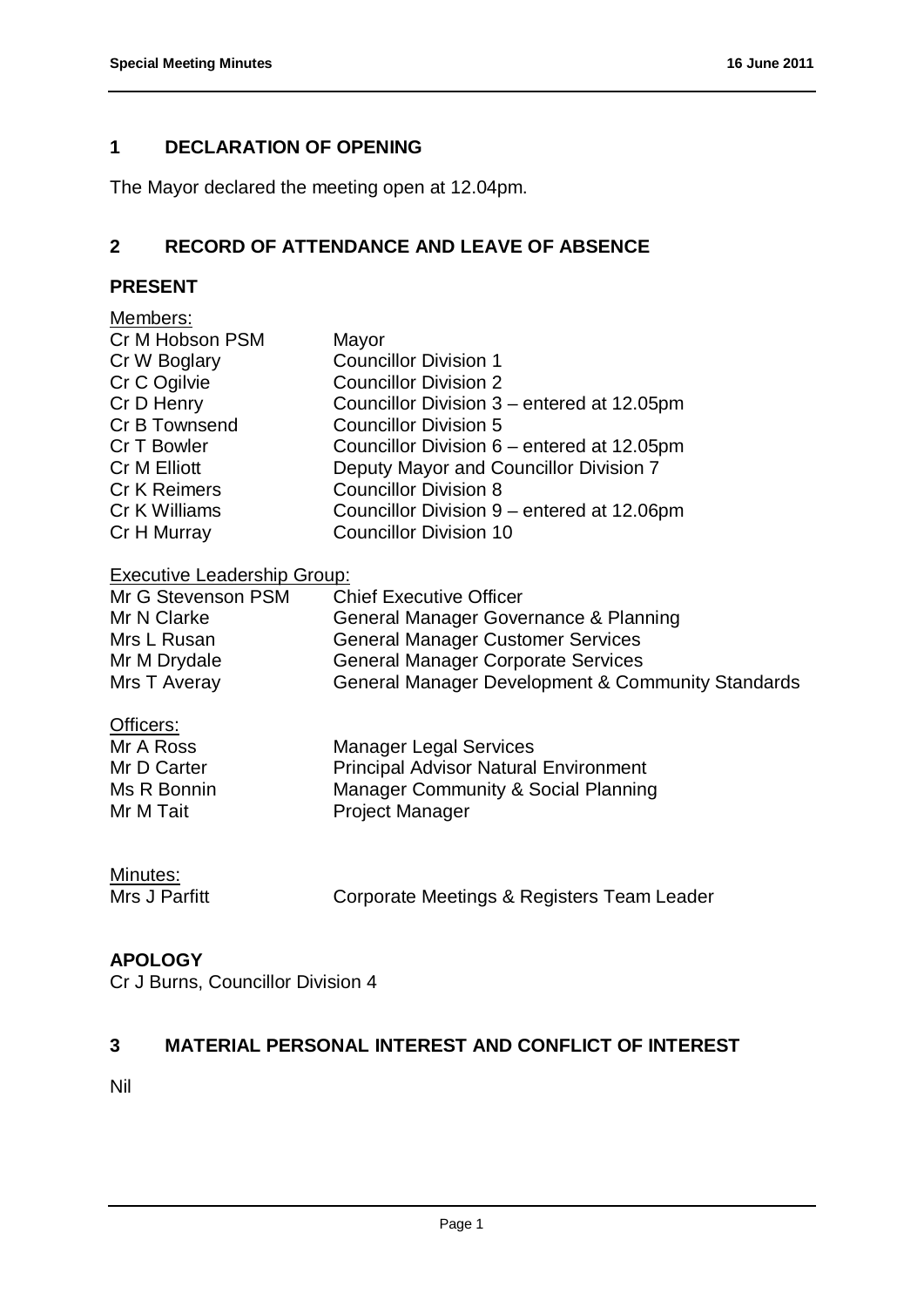#### <span id="page-2-0"></span>**1 DECLARATION OF OPENING**

The Mayor declared the meeting open at 12.04pm.

#### <span id="page-2-1"></span>**2 RECORD OF ATTENDANCE AND LEAVE OF ABSENCE**

#### **PRESENT**

| Members:                           |                                                   |  |  |  |  |
|------------------------------------|---------------------------------------------------|--|--|--|--|
| Cr M Hobson PSM                    | Mayor                                             |  |  |  |  |
| Cr W Boglary                       | <b>Councillor Division 1</b>                      |  |  |  |  |
| Cr C Ogilvie                       | <b>Councillor Division 2</b>                      |  |  |  |  |
| Cr D Henry                         | Councillor Division 3 – entered at 12.05pm        |  |  |  |  |
| Cr B Townsend                      | <b>Councillor Division 5</b>                      |  |  |  |  |
| Cr T Bowler                        | Councillor Division 6 – entered at 12.05pm        |  |  |  |  |
| Cr M Elliott                       | Deputy Mayor and Councillor Division 7            |  |  |  |  |
| Cr K Reimers                       | <b>Councillor Division 8</b>                      |  |  |  |  |
| Cr K Williams                      | Councillor Division 9 – entered at 12.06pm        |  |  |  |  |
| Cr H Murray                        | <b>Councillor Division 10</b>                     |  |  |  |  |
| <b>Executive Leadership Group:</b> |                                                   |  |  |  |  |
| Mr G Stevenson PSM                 | <b>Chief Executive Officer</b>                    |  |  |  |  |
| Mr N Clarke                        | General Manager Governance & Planning             |  |  |  |  |
| Mrs L Rusan                        | <b>General Manager Customer Services</b>          |  |  |  |  |
| Mr M Drydale                       | <b>General Manager Corporate Services</b>         |  |  |  |  |
| Mrs T Averay                       | General Manager Development & Community Standards |  |  |  |  |
| Officers:                          |                                                   |  |  |  |  |
| Mr A Ross                          | <b>Manager Legal Services</b>                     |  |  |  |  |
| Mr D Carter                        | <b>Principal Advisor Natural Environment</b>      |  |  |  |  |
| Ms R Bonnin                        | <b>Manager Community &amp; Social Planning</b>    |  |  |  |  |
| Mr M Tait                          | <b>Project Manager</b>                            |  |  |  |  |
|                                    |                                                   |  |  |  |  |

### **Minutes:**<br>Mrs J Parfitt

Corporate Meetings & Registers Team Leader

#### **APOLOGY**

Cr J Burns, Councillor Division 4

#### <span id="page-2-2"></span>**3 MATERIAL PERSONAL INTEREST AND CONFLICT OF INTEREST**

Nil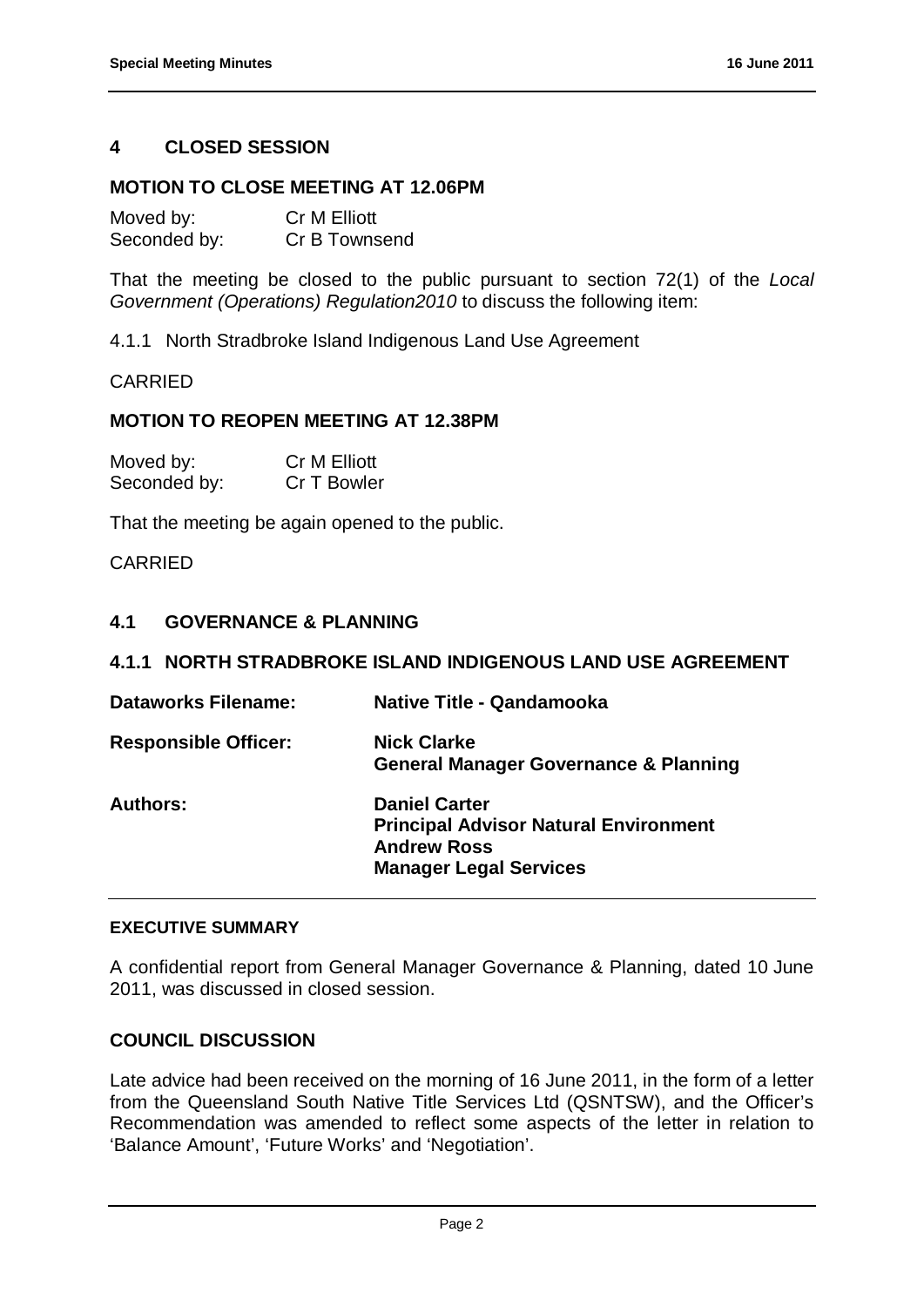#### <span id="page-3-0"></span>**4 CLOSED SESSION**

#### **MOTION TO CLOSE MEETING AT 12.06PM**

| Moved by:    | <b>Cr M Elliott</b> |
|--------------|---------------------|
| Seconded by: | Cr B Townsend       |

That the meeting be closed to the public pursuant to section 72(1) of the *Local Government (Operations) Regulation2010* to discuss the following item:

4.1.1 North Stradbroke Island Indigenous Land Use Agreement

#### CARRIED

#### **MOTION TO REOPEN MEETING AT 12.38PM**

| Moved by:    | <b>Cr M Elliott</b> |
|--------------|---------------------|
| Seconded by: | Cr T Bowler         |

That the meeting be again opened to the public.

#### CARRIED

#### <span id="page-3-1"></span>**4.1 GOVERNANCE & PLANNING**

#### <span id="page-3-2"></span>**4.1.1 NORTH STRADBROKE ISLAND INDIGENOUS LAND USE AGREEMENT**

| <b>Dataworks Filename:</b>  | Native Title - Qandamooka                                                                                                   |
|-----------------------------|-----------------------------------------------------------------------------------------------------------------------------|
| <b>Responsible Officer:</b> | <b>Nick Clarke</b><br><b>General Manager Governance &amp; Planning</b>                                                      |
| <b>Authors:</b>             | <b>Daniel Carter</b><br><b>Principal Advisor Natural Environment</b><br><b>Andrew Ross</b><br><b>Manager Legal Services</b> |

#### **EXECUTIVE SUMMARY**

A confidential report from General Manager Governance & Planning, dated 10 June 2011, was discussed in closed session.

#### **COUNCIL DISCUSSION**

Late advice had been received on the morning of 16 June 2011, in the form of a letter from the Queensland South Native Title Services Ltd (QSNTSW), and the Officer's Recommendation was amended to reflect some aspects of the letter in relation to 'Balance Amount', 'Future Works' and 'Negotiation'.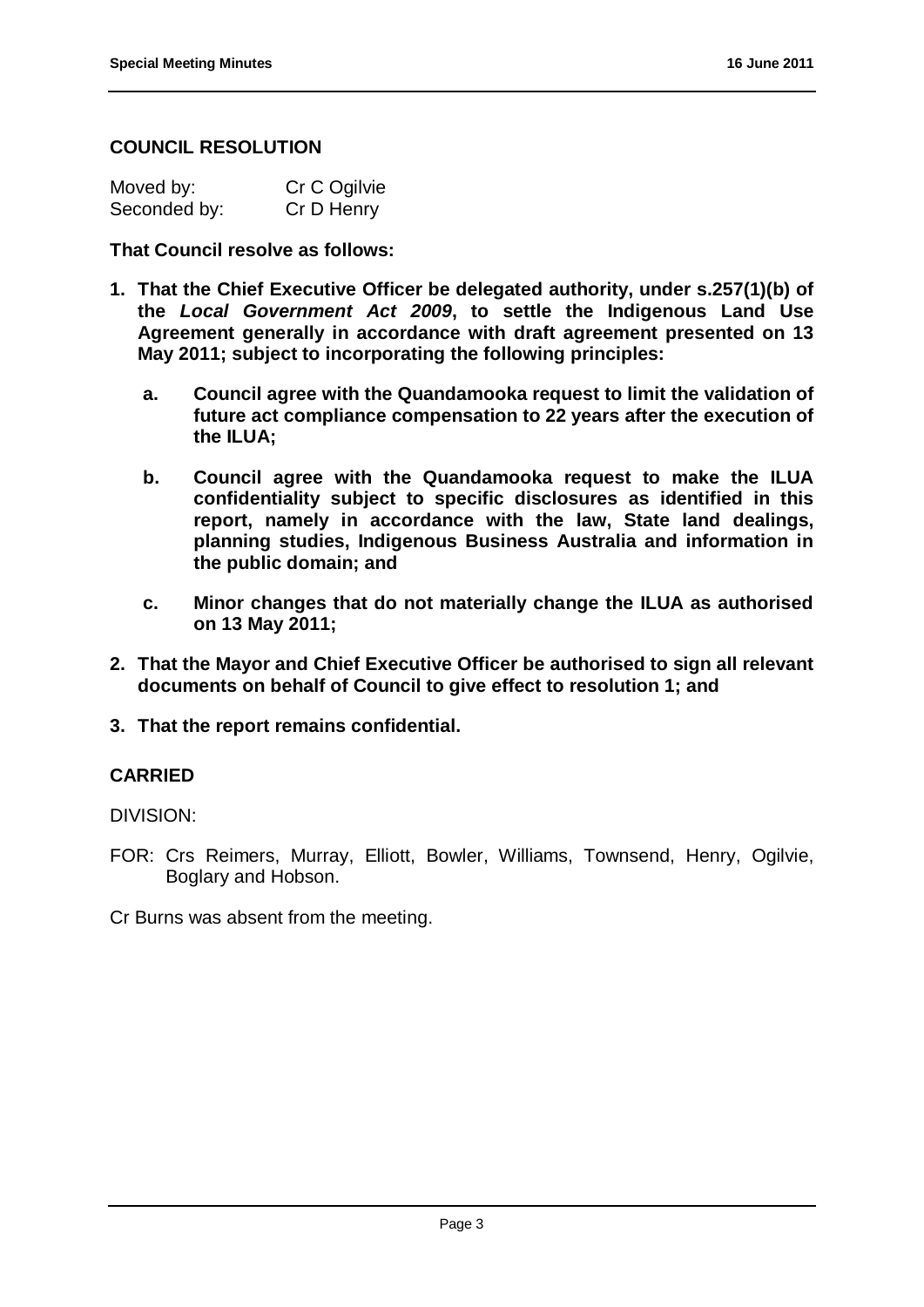#### **COUNCIL RESOLUTION**

| Moved by:    | Cr C Ogilvie |
|--------------|--------------|
| Seconded by: | Cr D Henry   |

**That Council resolve as follows:**

- **1. That the Chief Executive Officer be delegated authority, under s.257(1)(b) of the** *Local Government Act 2009***, to settle the Indigenous Land Use Agreement generally in accordance with draft agreement presented on 13 May 2011; subject to incorporating the following principles:** 
	- **a. Council agree with the Quandamooka request to limit the validation of future act compliance compensation to 22 years after the execution of the ILUA;**
	- **b. Council agree with the Quandamooka request to make the ILUA confidentiality subject to specific disclosures as identified in this report, namely in accordance with the law, State land dealings, planning studies, Indigenous Business Australia and information in the public domain; and**
	- **c. Minor changes that do not materially change the ILUA as authorised on 13 May 2011;**
- **2. That the Mayor and Chief Executive Officer be authorised to sign all relevant documents on behalf of Council to give effect to resolution 1; and**
- **3. That the report remains confidential.**

#### **CARRIED**

DIVISION:

FOR: Crs Reimers, Murray, Elliott, Bowler, Williams, Townsend, Henry, Ogilvie, Boglary and Hobson.

Cr Burns was absent from the meeting.